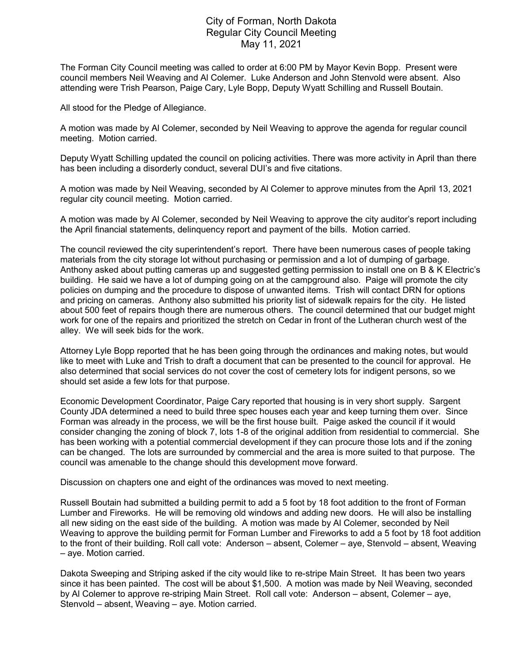## City of Forman, North Dakota Regular City Council Meeting May 11, 2021

The Forman City Council meeting was called to order at 6:00 PM by Mayor Kevin Bopp. Present were council members Neil Weaving and Al Colemer. Luke Anderson and John Stenvold were absent. Also attending were Trish Pearson, Paige Cary, Lyle Bopp, Deputy Wyatt Schilling and Russell Boutain.

All stood for the Pledge of Allegiance.

A motion was made by Al Colemer, seconded by Neil Weaving to approve the agenda for regular council meeting. Motion carried.

Deputy Wyatt Schilling updated the council on policing activities. There was more activity in April than there has been including a disorderly conduct, several DUI's and five citations.

A motion was made by Neil Weaving, seconded by Al Colemer to approve minutes from the April 13, 2021 regular city council meeting. Motion carried.

A motion was made by Al Colemer, seconded by Neil Weaving to approve the city auditor's report including the April financial statements, delinquency report and payment of the bills. Motion carried.

The council reviewed the city superintendent's report. There have been numerous cases of people taking materials from the city storage lot without purchasing or permission and a lot of dumping of garbage. Anthony asked about putting cameras up and suggested getting permission to install one on B & K Electric's building. He said we have a lot of dumping going on at the campground also. Paige will promote the city policies on dumping and the procedure to dispose of unwanted items. Trish will contact DRN for options and pricing on cameras. Anthony also submitted his priority list of sidewalk repairs for the city. He listed about 500 feet of repairs though there are numerous others. The council determined that our budget might work for one of the repairs and prioritized the stretch on Cedar in front of the Lutheran church west of the alley. We will seek bids for the work.

Attorney Lyle Bopp reported that he has been going through the ordinances and making notes, but would like to meet with Luke and Trish to draft a document that can be presented to the council for approval. He also determined that social services do not cover the cost of cemetery lots for indigent persons, so we should set aside a few lots for that purpose.

Economic Development Coordinator, Paige Cary reported that housing is in very short supply. Sargent County JDA determined a need to build three spec houses each year and keep turning them over. Since Forman was already in the process, we will be the first house built. Paige asked the council if it would consider changing the zoning of block 7, lots 1-8 of the original addition from residential to commercial. She has been working with a potential commercial development if they can procure those lots and if the zoning can be changed. The lots are surrounded by commercial and the area is more suited to that purpose. The council was amenable to the change should this development move forward.

Discussion on chapters one and eight of the ordinances was moved to next meeting.

Russell Boutain had submitted a building permit to add a 5 foot by 18 foot addition to the front of Forman Lumber and Fireworks. He will be removing old windows and adding new doors. He will also be installing all new siding on the east side of the building. A motion was made by Al Colemer, seconded by Neil Weaving to approve the building permit for Forman Lumber and Fireworks to add a 5 foot by 18 foot addition to the front of their building. Roll call vote: Anderson – absent, Colemer – aye, Stenvold – absent, Weaving – aye. Motion carried.

Dakota Sweeping and Striping asked if the city would like to re-stripe Main Street. It has been two years since it has been painted. The cost will be about \$1,500. A motion was made by Neil Weaving, seconded by Al Colemer to approve re-striping Main Street. Roll call vote: Anderson – absent, Colemer – aye, Stenvold – absent, Weaving – aye. Motion carried.